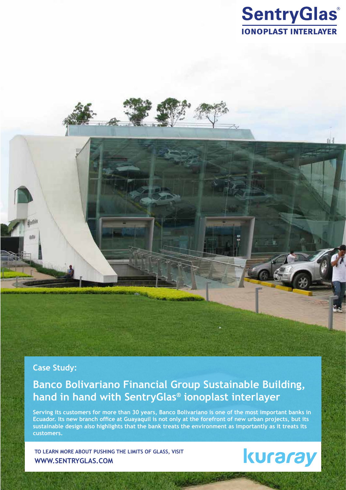

## **Case Study:**

## **Banco Bolivariano Financial Group Sustainable Building, hand in hand with SentryGlas® ionoplast interlayer**

**Serving its customers for more than 30 years, Banco Bolivariano is one of the most important banks in Ecuador. Its new branch office at Guayaquil is not only at the forefront of new urban projects, but its sustainable design also highlights that the bank treats the environment as importantly as it treats its customers.**

**To learn more about pushing the limits of glass, visit www.sentryglas.com**

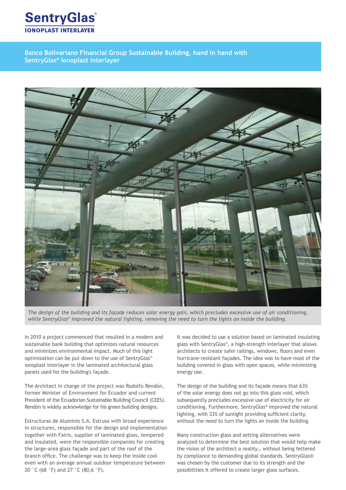

**Banco Bolivariano Financial Group Sustainable Building, hand in hand with SentryGlas® ionoplast interlayer**



*The design of the building and its façade reduces solar energy gain, which precludes excessive use of air conditioning, while SentryGlas® improved the natural lighting, removing the need to turn the lights on inside the building.*

In 2010 a project commenced that resulted in a modern and sustainable bank building that optimizes natural resources and minimizes environmental impact. Much of this light optimization can be put down to the use of SentryGlas® ionoplast interlayer in the laminated architectural glass panels used for the building's façade.

The Architect in charge of the project was Rodolfo Rendón, former Minister of Environment for Ecuador and current President of the Ecuadorian Sustainable Building Council (CEES). Rendón is widely acknowledge for his green building designs.

Estructuras de Aluminio S.A. Estrusa with broad experience in structures, responsible for the design and implementation together with Fairis, supplier of laminated glass, tempered and insulated, were the responsible companies for creating the large-area glass façade and part of the roof of the branch office. The challenge was to keep the inside cool even with an average annual outdoor temperature between 20 °C (68 °F) and 27 °C (80,6 °F).

It was decided to use a solution based on laminated insulating glass with SentryGlas®, a high-strength interlayer that allows architects to create safer railings, windows, floors and even hurricane-resistant façades. The idea was to have most of the building covered in glass with open spaces, while minimizing energy use.

The design of the building and its façade means that 63% of the solar energy does not go into this glass void, which subsequently precludes excessive use of electricity for air conditioning. Furthermore, SentryGlas® improved the natural lighting, with 33% of sunlight providing sufficient clarity, without the need to turn the lights on inside the building.

Many construction glass and setting alternatives were analyzed to determine the best solution that would help make the vision of the architect a reality… without being fettered by compliance to demanding global standards. SentryGlas® was chosen by the customer due to its strength and the possibilities it offered to create larger glass surfaces.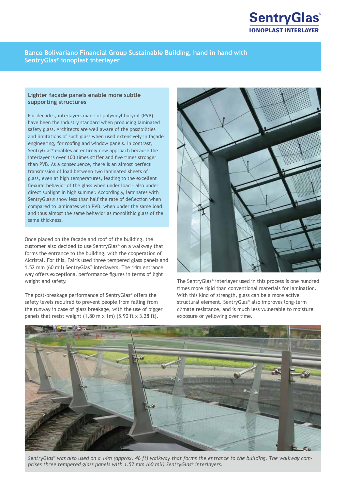

**Banco Bolivariano Financial Group Sustainable Building, hand in hand with SentryGlas® ionoplast interlayer**

#### **Lighter façade panels enable more subtle supporting structures**

For decades, interlayers made of polyvinyl butyral (PVB) have been the industry standard when producing laminated safety glass. Architects are well aware of the possibilities and limitations of such glass when used extensively in façade engineering, for roofing and window panels. In contrast, SentryGlas® enables an entirely new approach because the interlayer is over 100 times stiffer and five times stronger than PVB. As a consequence, there is an almost perfect transmission of load between two laminated sheets of glass, even at high temperatures, leading to the excellent flexural behavior of the glass when under load – also under direct sunlight in high summer. Accordingly, laminates with SentryGlas® show less than half the rate of deflection when compared to laminates with PVB, when under the same load, and thus almost the same behavior as monolithic glass of the same thickness.

Once placed on the facade and roof of the building, the customer also decided to use SentryGlas® on a walkway that forms the entrance to the building, with the cooperation of Alcristal. For this, Fairis used three tempered glass panels and 1.52 mm (60 mil) SentryGlas® interlayers. The 14m entrance way offers exceptional performance figures in terms of light weight and safety.

The post-breakage performance of SentryGlas® offers the safety levels required to prevent people from falling from the runway in case of glass breakage, with the use of bigger panels that resist weight (1,80 m x 1m) (5.90 ft x 3.28 ft).



The SentryGlas® interlayer used in this process is one hundred times more rigid than conventional materials for lamination. With this kind of strength, glass can be a more active structural element. SentryGlas® also improves long-term climate resistance, and is much less vulnerable to moisture exposure or yellowing over time.



*SentryGlas® was also used on a 14m (approx. 46 ft) walkway that forms the entrance to the building. The walkway comprises three tempered glass panels with 1.52 mm (60 mil) SentryGlas® interlayers.*